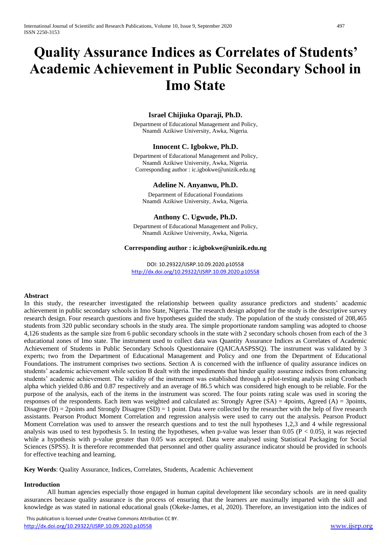# **Quality Assurance Indices as Correlates of Students' Academic Achievement in Public Secondary School in Imo State**

# **Israel Chijiuka Oparaji, Ph.D.**

Department of Educational Management and Policy, Nnamdi Azikiwe University, Awka, Nigeria.

# **Innocent C. Igbokwe, Ph.D.**

Department of Educational Management and Policy, Nnamdi Azikiwe University, Awka, Nigeria. Corresponding author : ic.igbokwe@unizik.edu.ng

#### **Adeline N. Anyanwu, Ph.D.**

Department of Educational Foundations Nnamdi Azikiwe University, Awka, Nigeria.

# **Anthony C. Ugwude, Ph.D.**

Department of Educational Management and Policy, Nnamdi Azikiwe University, Awka, Nigeria.

#### **Corresponding author : ic.igbokwe@unizik.edu.ng**

DOI: 10.29322/IJSRP.10.09.2020.p10558 <http://dx.doi.org/10.29322/IJSRP.10.09.2020.p10558>

#### **Abstract**

In this study, the researcher investigated the relationship between quality assurance predictors and students' academic achievement in public secondary schools in Imo State, Nigeria. The research design adopted for the study is the descriptive survey research design. Four research questions and five hypotheses guided the study. The population of the study consisted of 208,465 students from 320 public secondary schools in the study area. The simple proportionate random sampling was adopted to choose 4,126 students as the sample size from 6 public secondary schools in the state with 2 secondary schools chosen from each of the 3 educational zones of Imo state. The instrument used to collect data was Quantity Assurance Indices as Correlates of Academic Achievement of Students in Public Secondary Schools Questionnaire (QAICAASPSSQ). The instrument was validated by 3 experts; two from the Department of Educational Management and Policy and one from the Department of Educational Foundations. The instrument comprises two sections. Section A is concerned with the influence of quality assurance indices on students' academic achievement while section B dealt with the impediments that hinder quality assurance indices from enhancing students' academic achievement. The validity of the instrument was established through a pilot-testing analysis using Cronbach alpha which yielded 0.86 and 0.87 respectively and an average of 86.5 which was considered high enough to be reliable. For the purpose of the analysis, each of the items in the instrument was scored. The four points rating scale was used in scoring the responses of the respondents. Each item was weighted and calculated as: Strongly Agree  $(SA) = 4$ points, Agreed  $(A) = 3$ points, Disagree (D) = 2points and Strongly Disagree (SD) = 1 point. Data were collected by the researcher with the help of five research assistants. Pearson Product Moment Correlation and regression analysis were used to carry out the analysis. Pearson Product Moment Correlation was used to answer the research questions and to test the null hypotheses 1,2,3 and 4 while regressional analysis was used to test hypothesis 5. In testing the hypotheses, when p-value was lesser than 0.05 ( $P < 0.05$ ), it was rejected while a hypothesis with p-value greater than 0.05 was accepted. Data were analysed using Statistical Packaging for Social Sciences (SPSS). It is therefore recommended that personnel and other quality assurance indicator should be provided in schools for effective teaching and learning.

**Key Words**: Quality Assurance, Indices, Correlates, Students, Academic Achievement

#### **Introduction**

All human agencies especially those engaged in human capital development like secondary schools are in need quality assurances because quality assurance is the process of ensuring that the learners are maximally imparted with the skill and knowledge as was stated in national educational goals (Okeke-James, et al, 2020). Therefore, an investigation into the indices of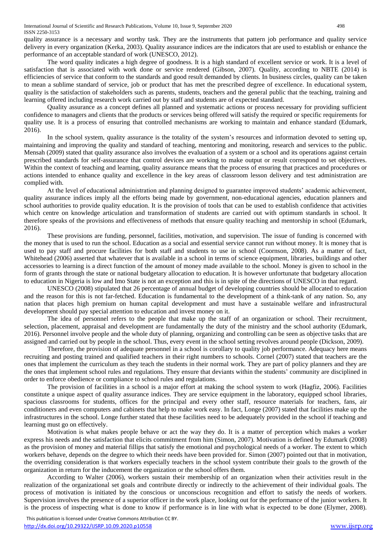quality assurance is a necessary and worthy task. They are the instruments that pattern job performance and quality service delivery in every organization (Kerka, 2003). Quality assurance indices are the indicators that are used to establish or enhance the performance of an acceptable standard of work (UNESCO, 2012).

The word quality indicates a high degree of goodness. It is a high standard of excellent service or work. It is a level of satisfaction that is associated with work done or service rendered (Gibson, 2007). Quality, according to NBTE (2014) is efficiencies of service that conform to the standards and good result demanded by clients. In business circles, quality can be taken to mean a sublime standard of service, job or product that has met the prescribed degree of excellence. In educational system, quality is the satisfaction of stakeholders such as parents, students, teachers and the general public that the teaching, training and learning offered including research work carried out by staff and students are of expected standard.

Quality assurance as a concept defines all planned and systematic actions or process necessary for providing sufficient confidence to managers and clients that the products or services being offered will satisfy the required or specific requirements for quality use. It is a process of ensuring that controlled mechanisms are working to maintain and enhance standard (Edumark, 2016).

In the school system, quality assurance is the totality of the system's resources and information devoted to setting up, maintaining and improving the quality and standard of teaching, mentoring and monitoring, research and services to the public. Mensah (2009) stated that quality assurance also involves the evaluation of a system or a school and its operations against certain prescribed standards for self-assurance that control devices are working to make output or result correspond to set objectives. Within the context of teaching and learning, quality assurance means that the process of ensuring that practices and procedures or actions intended to enhance quality and excellence in the key areas of classroom lesson delivery and test administration are complied with.

At the level of educational administration and planning designed to guarantee improved students' academic achievement, quality assurance indices imply all the efforts being made by government, non-educational agencies, education planners and school authorities to provide quality education. It is the provision of tools that can be used to establish confidence that activities which centre on knowledge articulation and transformation of students are carried out with optimum standards in school. It therefore speaks of the provisions and effectiveness of methods that ensure quality teaching and mentorship in school (Edumark, 2016).

These provisions are funding, personnel, facilities, motivation, and supervision. The issue of funding is concerned with the money that is used to run the school. Education as a social and essential service cannot run without money. It is money that is used to pay staff and procure facilities for both staff and students to use in school (Coornson, 2008). As a matter of fact, Whitehead (2006) asserted that whatever that is available in a school in terms of science equipment, libraries, buildings and other accessories to learning is a direct function of the amount of money made available to the school. Money is given to school in the form of grants through the state or national budgetary allocation to education. It is however unfortunate that budgetary allocation to education in Nigeria is low and Imo State is not an exception and this is in spite of the directions of UNESCO in that regard.

UNESCO (2008) stipulated that 26 percentage of annual budget of developing countries should be allocated to education and the reason for this is not far-fetched. Education is fundamental to the development of a think-tank of any nation. So, any nation that places high premium on human capital development and must have a sustainable welfare and infrastructural development should pay special attention to education and invest money on it.

The idea of personnel refers to the people that make up the staff of an organization or school. Their recruitment, selection, placement, appraisal and development are fundamentally the duty of the ministry and the school authority (Edumark, 2016). Personnel involve people and the whole duty of planning, organizing and controlling can be seen as objective tasks that are assigned and carried out by people in the school. Thus, every event in the school setting revolves around people (Dickson, 2009).

Therefore, the provision of adequate personnel in a school is corollary to quality job performance. Adequacy here means recruiting and posting trained and qualified teachers in their right numbers to schools. Cornel (2007) stated that teachers are the ones that implement the curriculum as they teach the students in their normal work. They are part of policy planners and they are the ones that implement school rules and regulations. They ensure that deviants within the students' community are disciplined in order to enforce obedience or compliance to school rules and regulations.

The provision of facilities in a school is a major effort at making the school system to work (Hagfiz, 2006). Facilities constitute a unique aspect of quality assurance indices. They are service equipment in the laboratory, equipped school libraries, spacious classrooms for students, offices for the principal and every other staff, resource materials for teachers, fans, air conditioners and even computers and cabinets that help to make work easy. In fact, Longe (2007) stated that facilities make up the infrastructures in the school. Longe further stated that these facilities need to be adequately provided in the school if teaching and learning must go on effectively.

Motivation is what makes people behave or act the way they do. It is a matter of perception which makes a worker express his needs and the satisfaction that elicits commitment from him (Simon, 2007). Motivation is defined by Edumark (2008) as the provision of money and material fillips that satisfy the emotional and psychological needs of a worker. The extent to which workers behave, depends on the degree to which their needs have been provided for. Simon (2007) pointed out that in motivation, the overriding consideration is that workers especially teachers in the school system contribute their goals to the growth of the organization in return for the inducement the organization or the school offers them.

According to Walter (2006), workers sustain their membership of an organization when their activities result in the realization of the organizational set goals and contribute directly or indirectly to the achievement of their individual goals. The process of motivation is initiated by the conscious or unconscious recognition and effort to satisfy the needs of workers. Supervision involves the presence of a superior officer in the work place, looking out for the performance of the junior workers. It is the process of inspecting what is done to know if performance is in line with what is expected to be done (Elymer, 2008).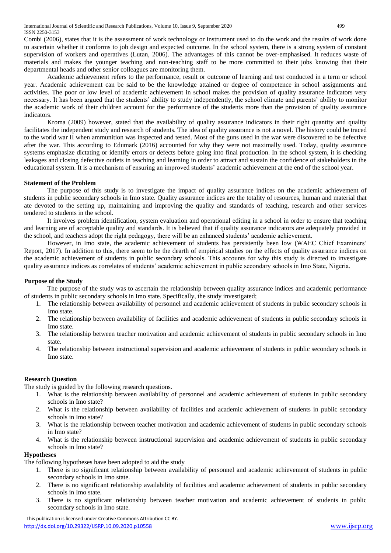Combi (2006), states that it is the assessment of work technology or instrument used to do the work and the results of work done to ascertain whether it conforms to job design and expected outcome. In the school system, there is a strong system of constant supervision of workers and operatives (Lutan, 2006). The advantages of this cannot be over-emphasised. It reduces waste of materials and makes the younger teaching and non-teaching staff to be more committed to their jobs knowing that their departmental heads and other senior colleagues are monitoring them.

Academic achievement refers to the performance, result or outcome of learning and test conducted in a term or school year. Academic achievement can be said to be the knowledge attained or degree of competence in school assignments and activities. The poor or low level of academic achievement in school makes the provision of quality assurance indicators very necessary. It has been argued that the students' ability to study independently, the school climate and parents' ability to monitor the academic work of their children account for the performance of the students more than the provision of quality assurance indicators.

Kroma (2009) however, stated that the availability of quality assurance indicators in their right quantity and quality facilitates the independent study and research of students. The idea of quality assurance is not a novel. The history could be traced to the world war II when ammunition was inspected and tested. Most of the guns used in the war were discovered to be defective after the war. This according to Edumark (2016) accounted for why they were not maximally used. Today, quality assurance systems emphasize dictating or identify errors or defects before going into final production. In the school system, it is checking leakages and closing defective outlets in teaching and learning in order to attract and sustain the confidence of stakeholders in the educational system. It is a mechanism of ensuring an improved students' academic achievement at the end of the school year.

# **Statement of the Problem**

The purpose of this study is to investigate the impact of quality assurance indices on the academic achievement of students in public secondary schools in Imo state. Quality assurance indices are the totality of resources, human and material that ate devoted to the setting up, maintaining and improving the quality and standards of teaching, research and other services tendered to students in the school.

It involves problem identification, system evaluation and operational editing in a school in order to ensure that teaching and learning are of acceptable quality and standards. It is believed that if quality assurance indicators are adequately provided in the school, and teachers adopt the right pedagogy, there will be an enhanced students' academic achievement.

However, in Imo state, the academic achievement of students has persistently been low (WAEC Chief Examiners' Report, 2017). In addition to this, there seem to be the dearth of empirical studies on the effects of quality assurance indices on the academic achievement of students in public secondary schools. This accounts for why this study is directed to investigate quality assurance indices as correlates of students' academic achievement in public secondary schools in Imo State, Nigeria.

# **Purpose of the Study**

The purpose of the study was to ascertain the relationship between quality assurance indices and academic performance of students in public secondary schools in Imo state. Specifically, the study investigated;

- 1. The relationship between availability of personnel and academic achievement of students in public secondary schools in Imo state.
- 2. The relationship between availability of facilities and academic achievement of students in public secondary schools in Imo state.
- 3. The relationship between teacher motivation and academic achievement of students in public secondary schools in Imo state.
- 4. The relationship between instructional supervision and academic achievement of students in public secondary schools in Imo state.

# **Research Question**

The study is guided by the following research questions.

- 1. What is the relationship between availability of personnel and academic achievement of students in public secondary schools in Imo state?
- 2. What is the relationship between availability of facilities and academic achievement of students in public secondary schools in Imo state?
- 3. What is the relationship between teacher motivation and academic achievement of students in public secondary schools in Imo state?
- 4. What is the relationship between instructional supervision and academic achievement of students in public secondary schools in Imo state?

# **Hypotheses**

The following hypotheses have been adopted to aid the study

- 1. There is no significant relationship between availability of personnel and academic achievement of students in public secondary schools in Imo state.
- 2. There is no significant relationship availability of facilities and academic achievement of students in public secondary schools in Imo state.
- 3. There is no significant relationship between teacher motivation and academic achievement of students in public secondary schools in Imo state.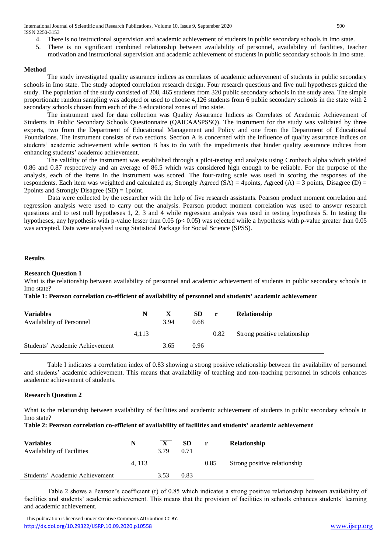International Journal of Scientific and Research Publications, Volume 10, Issue 9, September 2020 500 ISSN 2250-3153

- 4. There is no instructional supervision and academic achievement of students in public secondary schools in Imo state.
- 5. There is no significant combined relationship between availability of personnel, availability of facilities, teacher motivation and instructional supervision and academic achievement of students in public secondary schools in Imo state.

#### **Method**

The study investigated quality assurance indices as correlates of academic achievement of students in public secondary schools in Imo state. The study adopted correlation research design. Four research questions and five null hypotheses guided the study. The population of the study consisted of 208, 465 students from 320 public secondary schools in the study area. The simple proportionate random sampling was adopted or used to choose 4,126 students from 6 public secondary schools in the state with 2 secondary schools chosen from each of the 3 educational zones of Imo state.

The instrument used for data collection was Quality Assurance Indices as Correlates of Academic Achievement of Students in Public Secondary Schools Questionnaire (QAICAASPSSQ). The instrument for the study was validated by three experts, two from the Department of Educational Management and Policy and one from the Department of Educational Foundations. The instrument consists of two sections. Section A is concerned with the influence of quality assurance indices on students' academic achievement while section B has to do with the impediments that hinder quality assurance indices from enhancing students' academic achievement.

The validity of the instrument was established through a pilot-testing and analysis using Cronbach alpha which yielded 0.86 and 0.87 respectively and an average of 86.5 which was considered high enough to be reliable. For the purpose of the analysis, each of the items in the instrument was scored. The four-rating scale was used in scoring the responses of the respondents. Each item was weighted and calculated as; Strongly Agreed  $(S_A) = 4$ points, Agreed  $(A) = 3$  points, Disagree  $(D) =$ 2points and Strongly Disagree (SD) = 1point.

Data were collected by the researcher with the help of five research assistants. Pearson product moment correlation and regression analysis were used to carry out the analysis. Pearson product moment correlation was used to answer research questions and to test null hypotheses 1, 2, 3 and 4 while regression analysis was used in testing hypothesis 5. In testing the hypotheses, any hypothesis with p-value lesser than 0.05 (p< 0.05) was rejected while a hypothesis with p-value greater than 0.05 was accepted. Data were analysed using Statistical Package for Social Science (SPSS).

#### **Results**

## **Research Question 1**

What is the relationship between availability of personnel and academic achievement of students in public secondary schools in Imo state?

**Table 1: Pearson correlation co-efficient of availability of personnel and students' academic achievement**

| <b>Variables</b>                 | N     | $\mathbf{X}$ | SD   | $\mathbf{r}$ | Relationship                 |
|----------------------------------|-------|--------------|------|--------------|------------------------------|
| <b>Availability of Personnel</b> |       | 3.94         | 0.68 |              |                              |
|                                  | 4.113 |              |      | 0.82         | Strong positive relationship |
| Students' Academic Achievement   |       | 3.65         | 0.96 |              |                              |

Table I indicates a correlation index of 0.83 showing a strong positive relationship between the availability of personnel and students' academic achievement. This means that availability of teaching and non-teaching personnel in schools enhances academic achievement of students.

# **Research Question 2**

What is the relationship between availability of facilities and academic achievement of students in public secondary schools in Imo state?

# **Table 2: Pearson correlation co-efficient of availability of facilities and students' academic achievement**

| <b>Variables</b>                  |       |      | <b>SD</b> |      | <b>Relationship</b>          |
|-----------------------------------|-------|------|-----------|------|------------------------------|
| <b>Availability of Facilities</b> |       | 3.79 | 0.71      |      |                              |
|                                   | 4.113 |      |           | 0.85 | Strong positive relationship |
| Students' Academic Achievement    |       | 3.53 | 0.83      |      |                              |

Table 2 shows a Pearson's coefficient (r) of 0.85 which indicates a strong positive relationship between availability of facilities and students' academic achievement. This means that the provision of facilities in schools enhances students' learning and academic achievement.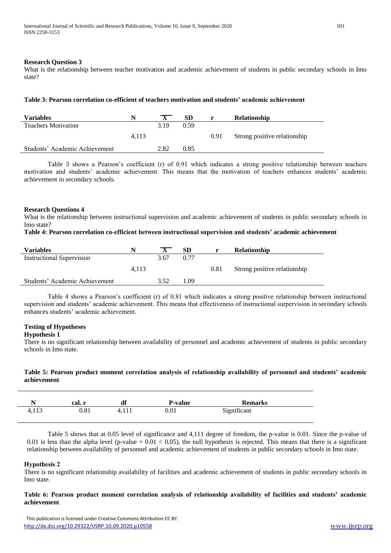#### **Research Question 3**

What is the relationship between teacher motivation and academic achievement of students in public secondary schools in Imo state?

#### **Table 3: Pearson correlation co-efficient of teachers motivation and students' academic achievement**

| <b>Variables</b>               | N     | $\mathbf{X}$ | <b>SD</b> |      | <b>Relationship</b>          |
|--------------------------------|-------|--------------|-----------|------|------------------------------|
| <b>Teachers Motivation</b>     |       | 3.19         | 0.59      |      |                              |
|                                | 4.113 |              |           | 0.91 | Strong positive relationship |
| Students' Academic Achievement |       | 2.82         | 0.85      |      |                              |
|                                |       |              |           |      |                              |

Table 3 shows a Pearson's coefficient (r) of 0.91 which indicates a strong positive relationship between teachers motivation and students' academic achievement. This means that the motivation of teachers enhances students' academic achievement in secondary schools.

#### **Research Questions 4**

What is the relationship between instructional supervision and academic achievement of students in public secondary schools in Imo state?

#### **Table 4: Pearson correlation co-efficient between instructional supervision and students' academic achievement**

| <b>Variables</b>                 |       |      | <b>SD</b> | r    | <b>Relationship</b>          |
|----------------------------------|-------|------|-----------|------|------------------------------|
| <b>Instructional Supervision</b> |       | 3.67 | 0.77      |      |                              |
|                                  | 4.113 |      |           | 0.81 | Strong positive relationship |
| Students' Academic Achievement   |       | 3.52 | 09، ۱     |      |                              |

Table 4 shows a Pearson's coefficient (r) of 0.81 which indicates a strong positive relationship between instructional supervision and students' academic achievement. This means that effectiveness of instructional surpervision in secondary schools enhances students' academic achievement.

# **Testing of Hypotheses**

#### **Hypothesis 1**

There is no significant relationship between availability of personnel and academic achievement of students in public secondary schools in Imo state.

# **Table 5: Pearson product moment correlation analysis of relationship availability of personnel and students' academic achievement**

|       | cal. r | df | <b>P-value</b> | <b>Remarks</b> |  |
|-------|--------|----|----------------|----------------|--|
| 4,113 | 0.81   |    | 0.01           | Significant    |  |

Table 5 shows that at 0.05 level of significance and 4,111 degree of freedom, the p-value is 0.01. Since the p-value of 0.01 is less than the alpha level (p-value =  $0.01 < 0.05$ ), the null hypothesis is rejected. This means that there is a significant relationship between availability of personnel and academic achievement of students in public secondary schools in Imo state.

# **Hypothesis 2**

There is no significant relationship availability of facilities and academic achievement of students in public secondary schools in Imo state.

#### **Table 6: Pearson product moment correlation analysis of relationship availability of facilities and students' academic achievement**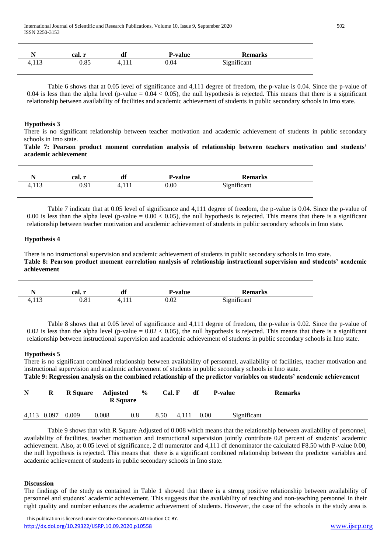|       | cal. .<br><b>IN</b> | df    | <b>P-value</b> | <b>Remarks</b> |  |
|-------|---------------------|-------|----------------|----------------|--|
| 4,113 | 0.85                | 4,111 | 0.04           | Significant    |  |

Table 6 shows that at 0.05 level of significance and 4,111 degree of freedom, the p-value is 0.04. Since the p-value of 0.04 is less than the alpha level (p-value =  $0.04 < 0.05$ ), the null hypothesis is rejected. This means that there is a significant relationship between availability of facilities and academic achievement of students in public secondary schools in Imo state.

## **Hypothesis 3**

There is no significant relationship between teacher motivation and academic achievement of students in public secondary schools in Imo state.

**Table 7: Pearson product moment correlation analysis of relationship between teachers motivation and students' academic achievement**

|       | cal. r | df       | <b>P-value</b> | <b>Remarks</b> |  |
|-------|--------|----------|----------------|----------------|--|
| 4,113 | 0.91   | 7. I I I | $0.00\,$       | Significant    |  |

Table 7 indicate that at 0.05 level of significance and 4,111 degree of freedom, the p-value is 0.04. Since the p-value of 0.00 is less than the alpha level (p-value  $= 0.00 < 0.05$ ), the null hypothesis is rejected. This means that there is a significant relationship between teacher motivation and academic achievement of students in public secondary schools in Imo state.

#### **Hypothesis 4**

There is no instructional supervision and academic achievement of students in public secondary schools in Imo state. **Table 8: Pearson product moment correlation analysis of relationship instructional supervision and students' academic achievement**

|       | cal. r     | df       | <b>P-value</b> | <b>Remarks</b> |  |
|-------|------------|----------|----------------|----------------|--|
| 4,113 | $\rm 0.81$ | 1. I I I | $_{0.02}$      | Significant    |  |

Table 8 shows that at 0.05 level of significance and 4,111 degree of freedom, the p-value is 0.02. Since the p-value of 0.02 is less than the alpha level (p-value =  $0.02 < 0.05$ ), the null hypothesis is rejected. This means that there is a significant relationship between instructional supervision and academic achievement of students in public secondary schools in Imo state.

# **Hypothesis 5**

There is no significant combined relationship between availability of personnel, availability of facilities, teacher motivation and instructional supervision and academic achievement of students in public secondary schools in Imo state.

**Table 9: Regression analysis on the combined relationship of the predictor variables on students' academic achievement**

| $\mathbf N$ | R | <b>R</b> Square | Adjusted<br><b>R</b> Square | $\frac{6}{9}$ | Cal. F |       | df   | <b>P-value</b> | <b>Remarks</b> |
|-------------|---|-----------------|-----------------------------|---------------|--------|-------|------|----------------|----------------|
| 4,113 0.097 |   | 0.009           | 0.008                       | 0.8           | 8.50   | 4,111 | 0.00 | Significant    |                |

Table 9 shows that with R Square Adjusted of 0.008 which means that the relationship between availability of personnel, availability of facilities, teacher motivation and instructional supervision jointly contribute 0.8 percent of students' academic achievement. Also, at 0.05 level of significance, 2 df numerator and 4,111 df denominator the calculated F8.50 with P-value 0.00, the null hypothesis is rejected. This means that there is a significant combined relationship between the predictor variables and academic achievement of students in public secondary schools in Imo state.

#### **Discussion**

The findings of the study as contained in Table 1 showed that there is a strong positive relationship between availability of personnel and students' academic achievement. This suggests that the availability of teaching and non-teaching personnel in their right quality and number enhances the academic achievement of students. However, the case of the schools in the study area is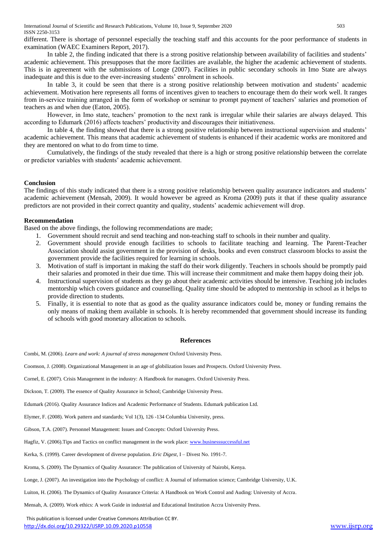different. There is shortage of personnel especially the teaching staff and this accounts for the poor performance of students in examination (WAEC Examiners Report, 2017).

In table 2, the finding indicated that there is a strong positive relationship between availability of facilities and students' academic achievement. This presupposes that the more facilities are available, the higher the academic achievement of students. This is in agreement with the submissions of Longe (2007). Facilities in public secondary schools in Imo State are always inadequate and this is due to the ever-increasing students' enrolment in schools.

In table 3, it could be seen that there is a strong positive relationship between motivation and students' academic achievement. Motivation here represents all forms of incentives given to teachers to encourage them do their work well. It ranges from in-service training arranged in the form of workshop or seminar to prompt payment of teachers' salaries and promotion of teachers as and when due (Eaton, 2005).

However, in Imo state, teachers' promotion to the next rank is irregular while their salaries are always delayed. This according to Edumark (2016) affects teachers' productivity and discourages their initiativeness.

In table 4, the finding showed that there is a strong positive relationship between instructional supervision and students' academic achievement. This means that academic achievement of students is enhanced if their academic works are monitored and they are mentored on what to do from time to time.

Cumulatively, the findings of the study revealed that there is a high or strong positive relationship between the correlate or predictor variables with students' academic achievement.

# **Conclusion**

The findings of this study indicated that there is a strong positive relationship between quality assurance indicators and students' academic achievement (Mensah, 2009). It would however be agreed as Kroma (2009) puts it that if these quality assurance predictors are not provided in their correct quantity and quality, students' academic achievement will drop.

# **Recommendation**

Based on the above findings, the following recommendations are made;

- 1. Government should recruit and send teaching and non-teaching staff to schools in their number and quality.
- 2. Government should provide enough facilities to schools to facilitate teaching and learning. The Parent-Teacher Association should assist government in the provision of desks, books and even construct classroom blocks to assist the government provide the facilities required for learning in schools.
- 3. Motivation of staff is important in making the staff do their work diligently. Teachers in schools should be promptly paid their salaries and promoted in their due time. This will increase their commitment and make them happy doing their job.
- 4. Instructional supervision of students as they go about their academic activities should be intensive. Teaching job includes mentorship which covers guidance and counselling. Quality time should be adopted to mentorship in school as it helps to provide direction to students.
- 5. Finally, it is essential to note that as good as the quality assurance indicators could be, money or funding remains the only means of making them available in schools. It is hereby recommended that government should increase its funding of schools with good monetary allocation to schools.

#### **References**

Combi, M. (2006). *Learn and work: A journal of stress management* Oxford University Press.

Coomson, J. (2008). Organizational Management in an age of globilization Issues and Prospects. Oxford University Press.

Cornel, E. (2007). Crisis Management in the industry: A Handbook for managers. Oxford University Press.

Dickson, T. (2009). The essence of Quality Assurance in School; Cambridge University Press.

Edumark (2016). Quality Assurance Indices and Academic Performance of Students. Edumark publication Ltd.

Elymer, F. (2008). Work pattern and standards; Vol 1(3), 126 -134 Columbia University, press.

Gibson, T.A. (2007). Personnel Management: Issues and Concepts: Oxford University Press.

Hagfiz, V. (2006). Tips and Tactics on conflict management in the work place[: www.businesssuccessful.net](http://www.businesssuccessful.net/)

Kerka, S. (1999). Career development of diverse population. *Eric Digest,* I – Divest No. 1991-7.

Kroma, S. (2009). The Dynamics of Quality Assurance: The publication of University of Nairobi, Kenya.

Longe, J. (2007). An investigation into the Psychology of conflict: A Journal of information science; Cambridge University, U.K.

Luiton, H. (2006). The Dynamics of Quality Assurance Criteria: A Handbook on Work Control and Auding: University of Accra.

Mensah, A. (2009). Work ethics: A work Guide in industrial and Educational Institution Accra University Press.